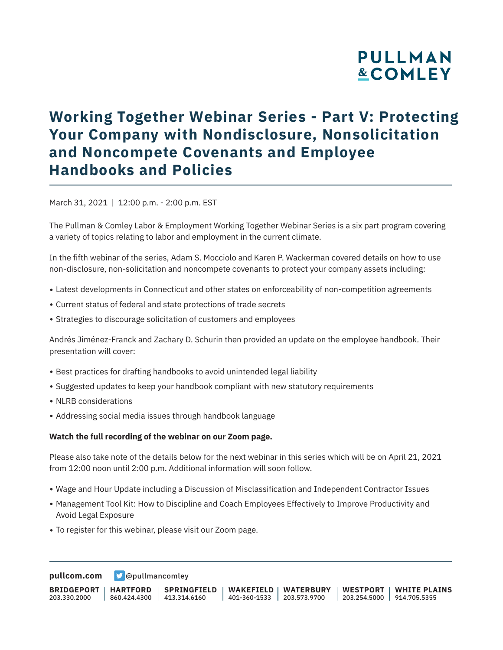# **PULLMAN &COMLEY**

## **Working Together Webinar Series - Part V: Protecting Your Company with Nondisclosure, Nonsolicitation and Noncompete Covenants and Employee Handbooks and Policies**

March 31, 2021 | 12:00 p.m. - 2:00 p.m. EST

The Pullman & Comley Labor & Employment Working Together Webinar Series is a six part program covering a variety of topics relating to labor and employment in the current climate.

In the fifth webinar of the series, Adam S. Mocciolo and Karen P. Wackerman covered details on how to use non-disclosure, non-solicitation and noncompete covenants to protect your company assets including:

- Latest developments in Connecticut and other states on enforceability of non-competition agreements
- Current status of federal and state protections of trade secrets
- Strategies to discourage solicitation of customers and employees

Andrés Jiménez-Franck and Zachary D. Schurin then provided an update on the employee handbook. Their presentation will cover:

- Best practices for drafting handbooks to avoid unintended legal liability
- Suggested updates to keep your handbook compliant with new statutory requirements
- NLRB considerations
- Addressing social media issues through handbook language

#### **Watch the full recording of the webinar on our Zoom page.**

Please also take note of the details below for the next webinar in this series which will be on April 21, 2021 from 12:00 noon until 2:00 p.m. Additional information will soon follow.

- Wage and Hour Update including a Discussion of Misclassification and Independent Contractor Issues
- Management Tool Kit: How to Discipline and Coach Employees Effectively to Improve Productivity and Avoid Legal Exposure
- To register for this webinar, please visit our Zoom page.

**[pullcom.com](https://www.pullcom.com) g** [@pullmancomley](https://twitter.com/PullmanComley)